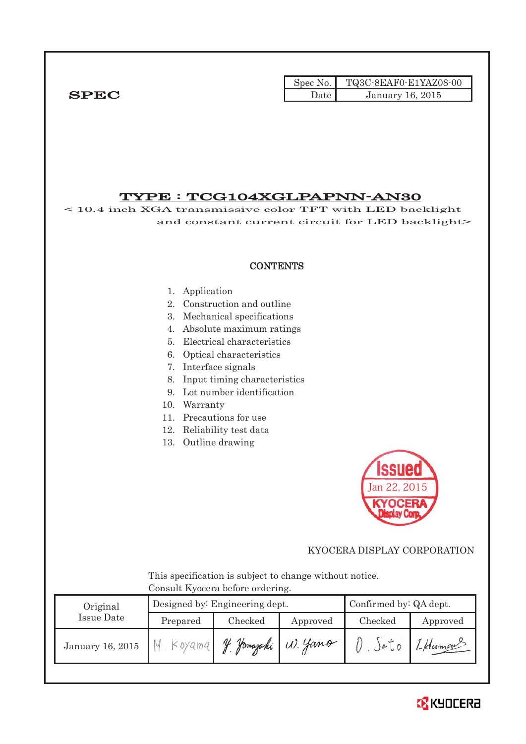|             |        | Spec No. $\vert$ TQ3C-8EAF0-E1YAZ08-00 |
|-------------|--------|----------------------------------------|
| <b>SPEC</b> | Date l | <b>January 16, 2015</b>                |

## TYPE : TCG104XGLPAPNN-AN30

< 10.4 inch XGA transmissive color TFT with LED backlight and constant current circuit for LED backlight>

#### **CONTENTS**

#### 1. Application

- 2. Construction and outline
- 3. Mechanical specifications
- 4. Absolute maximum ratings
- 5. Electrical characteristics
- 6. Optical characteristics
- 7. Interface signals
- 8. Input timing characteristics
- 9. Lot number identification
- 10. Warranty
- 11. Precautions for use
- 12. Reliability test data
- 13. Outline drawing



#### KYOCERA DISPLAY CORPORATION

 This specification is subject to change without notice. Consult Kyocera before ordering.

| Original         |           | Designed by: Engineering dept. | Confirmed by: QA dept. |         |          |
|------------------|-----------|--------------------------------|------------------------|---------|----------|
| Issue Date       | Prepared  | Checked                        | Approved               | Checked | Approved |
| January 16, 2015 | $Koya$ ma | Hamazaki<br>V                  | W. Yano                |         | 1-Hamou  |

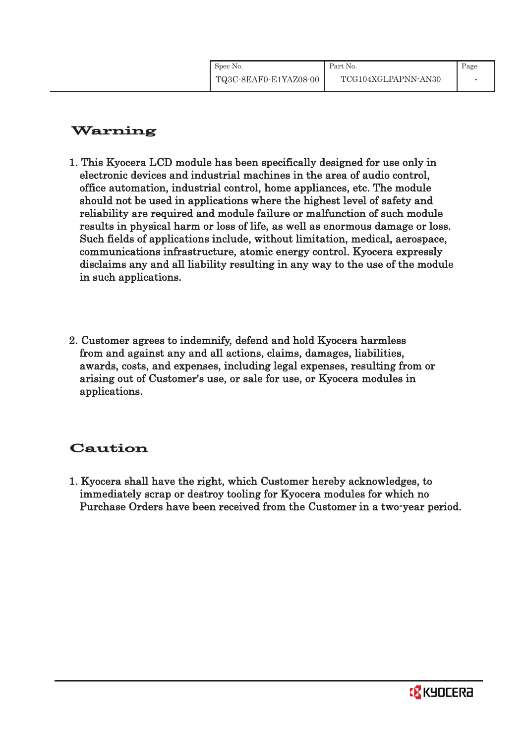| Spec No.              | Part No.            | Page |
|-----------------------|---------------------|------|
| TQ3C-8EAF0-E1YAZ08-00 | TCG104XGLPAPNN-AN30 |      |

# Warning

- 1. This Kyocera LCD module has been specifically designed for use only in electronic devices and industrial machines in the area of audio control, office automation, industrial control, home appliances, etc. The module should not be used in applications where the highest level of safety and reliability are required and module failure or malfunction of such module results in physical harm or loss of life, as well as enormous damage or loss. Such fields of applications include, without limitation, medical, aerospace, communications infrastructure, atomic energy control. Kyocera expressly disclaims any and all liability resulting in any way to the use of the module in such applications.
- 2. Customer agrees to indemnify, defend and hold Kyocera harmless from and against any and all actions, claims, damages, liabilities, awards, costs, and expenses, including legal expenses, resulting from or arising out of Customer's use, or sale for use, or Kyocera modules in applications.

# Caution

1. Kyocera shall have the right, which Customer hereby acknowledges, to immediately scrap or destroy tooling for Kyocera modules for which no Purchase Orders have been received from the Customer in a two-year period.

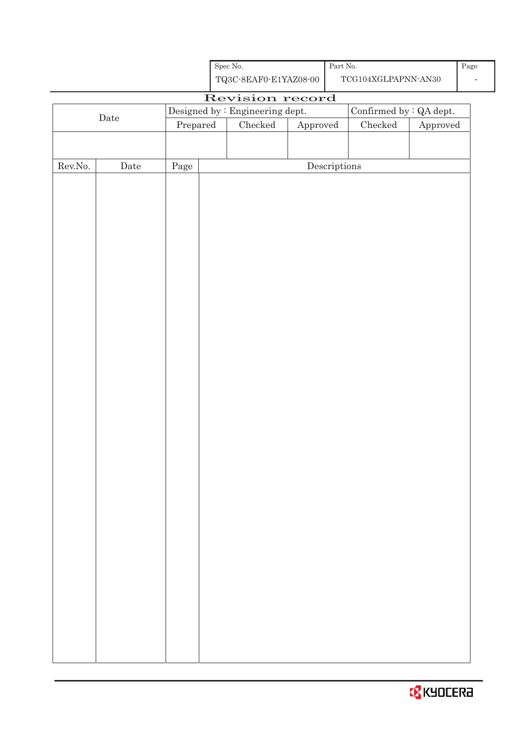| Spec No.              |  |
|-----------------------|--|
| TQ3C-8EAF0-E1YAZ08-00 |  |

Part No. TCG104XGLPAPNN-AN30

# Revision record Date Designed by : Engineering dept. Confirmed by : QA dept.<br>Prepared Checked Approved Checked Approved Approved Rev.No. Date Page Page Descriptions

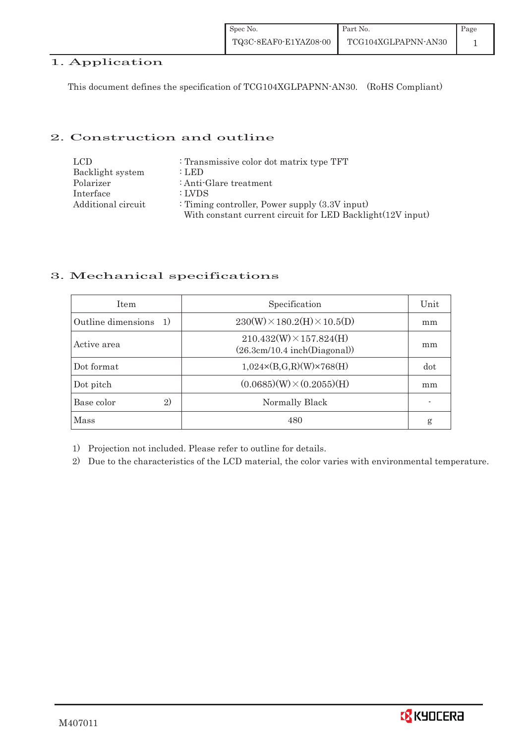#### 1. Application

This document defines the specification of TCG104XGLPAPNN-AN30. (RoHS Compliant)

#### 2. Construction and outline

| LCD.               | : Transmissive color dot matrix type TFT                   |
|--------------------|------------------------------------------------------------|
| Backlight system   | : LED                                                      |
| Polarizer          | : Anti-Glare treatment                                     |
| Interface          | : LVDS                                                     |
| Additional circuit | : Timing controller, Power supply $(3.3V)$ input)          |
|                    | With constant current circuit for LED Backlight(12V input) |

## 3. Mechanical specifications

| <b>Item</b>               | Specification                                                  | Unit |
|---------------------------|----------------------------------------------------------------|------|
| Outline dimensions<br>-1) | $230(W)\times 180.2(H)\times 10.5(D)$                          | mm   |
| Active area               | $210.432(W) \times 157.824(H)$<br>(26.3cm/10.4~inch(Diagonal)) | mm   |
| Dot format                | $1,024 \times (B,G,R)(W) \times 768(H)$                        | dot  |
| Dot pitch                 | $(0.0685)(W) \times (0.2055)(H)$                               | mm   |
| Base color<br>2)          | Normally Black                                                 |      |
| <b>Mass</b>               | 480                                                            | g    |

1) Projection not included. Please refer to outline for details.

2) Due to the characteristics of the LCD material, the color varies with environmental temperature.

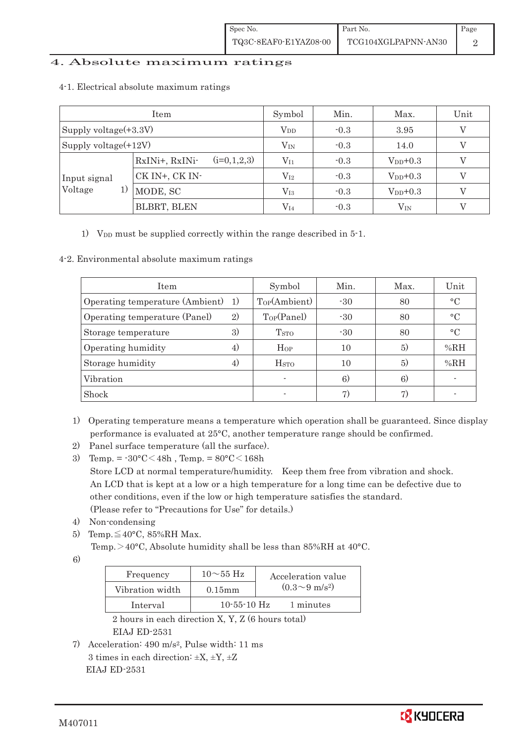#### 4. Absolute maximum ratings

| Item                    |                                 | Symbol       | Min.   | Max.          | Unit |
|-------------------------|---------------------------------|--------------|--------|---------------|------|
| Supply voltage(+3.3V)   |                                 | $V_{DD}$     | $-0.3$ | 3.95          |      |
| Supply voltage $(+12V)$ |                                 | $\rm V_{IN}$ | $-0.3$ | 14.0          |      |
|                         | $(i=0,1,2,3)$<br>RxINi+, RxINi- | $\rm V_{I1}$ | $-0.3$ | $V_{DD}$ +0.3 |      |
| Input signal            | CK IN+, CK IN-                  | $\rm V_{I2}$ | $-0.3$ | $V_{DD}$ +0.3 |      |
| Voltage<br>1)           | MODE, SC                        | $\rm V_{I3}$ | $-0.3$ | $V_{DD}+0.3$  |      |
|                         | BLBRT, BLEN                     | $\rm V_{I4}$ | $-0.3$ | $\rm V_{IN}$  |      |

#### 4-1.Electrical absolute maximum ratings

1) V<sub>DD</sub> must be supplied correctly within the range described in 5-1.

#### 4-2. Environmental absolute maximum ratings

| <b>Item</b>                        |    | Symbol                  | Min.  | Max. | Unit            |
|------------------------------------|----|-------------------------|-------|------|-----------------|
| Operating temperature (Ambient) 1) |    | Top(Ambient)            | $-30$ | 80   | $\circ$ C       |
| Operating temperature (Panel)      | 2) | Top(Panel)              | $-30$ | 80   | $\circ$ C       |
| Storage temperature                | 3) | <b>T</b> <sub>STO</sub> | $-30$ | 80   | $\rm ^{\circ}C$ |
| Operating humidity                 | 4) | Hop                     | 10    | (5)  | %RH             |
| Storage humidity                   | 4) | $_{\mathrm{HSTO}}$      | 10    | 5)   | %RH             |
| Vibration                          |    |                         | 6)    | 6)   |                 |
| Shock                              |    |                         | 7)    |      |                 |

- 1) Operating temperature means a temperature which operation shall be guaranteed. Since display performance is evaluated at 25°C, another temperature range should be confirmed.
- 2) Panel surface temperature (all the surface).
- 3) Temp. =  $-30^{\circ}$ C $<$ 48h, Temp. =  $80^{\circ}$ C $<$ 168h Store LCD at normal temperature/humidity. Keep them free from vibration and shock. An LCD that is kept at a low or a high temperature for a long time can be defective due to other conditions, even if the low or high temperature satisfies the standard. (Please refer to "Precautions for Use" for details.)
- 4) Non-condensing
- 5) Temp. $\leq 40^{\circ}$ C, 85%RH Max.

Temp.  $>$  40°C, Absolute humidity shall be less than 85%RH at 40°C.

6)

| Frequency       | $10\sim 55$ Hz    | Acceleration value           |
|-----------------|-------------------|------------------------------|
| Vibration width | $0.15$ m m        | $(0.3 \sim 9 \text{ m/s}^2)$ |
| Interval        | $10 - 55 - 10$ Hz | 1 minutes                    |

 2 hours in each direction X, Y, Z (6 hours total) EIAJ ED-2531

7) Acceleration: 490 m/s2, Pulse width: 11 ms 3 times in each direction:  $\pm X$ ,  $\pm Y$ ,  $\pm Z$ EIAJ ED-2531

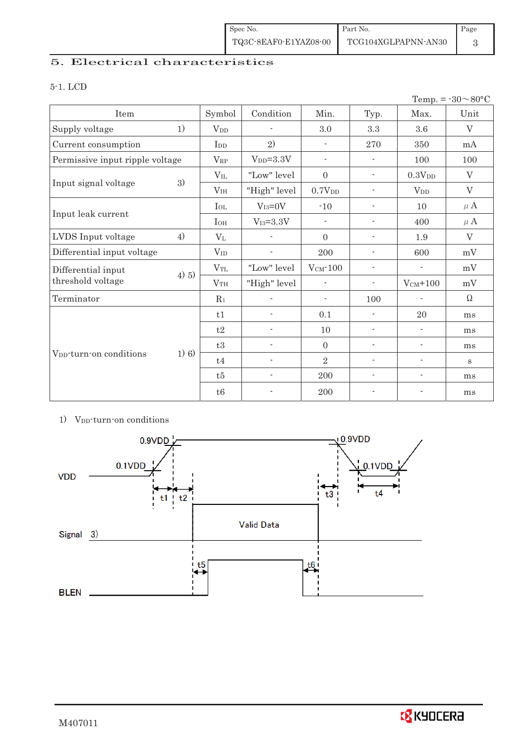| Spec No.              | Part No.            | Page |
|-----------------------|---------------------|------|
| TQ3C-8EAF0-E1YAZ08-00 | TCG104XGLPAPNN-AN30 |      |

# 5. Electrical characteristics

#### 5-1. LCD

|                                     |         |                 |                          |                          |                          |                          | Temp. = $-30 \sim 80$ °C |
|-------------------------------------|---------|-----------------|--------------------------|--------------------------|--------------------------|--------------------------|--------------------------|
| Item                                |         | Symbol          | Condition                | Min.                     | Typ.                     | Max.                     | Unit                     |
| Supply voltage                      | 1)      | V <sub>DD</sub> | $\overline{\phantom{a}}$ | 3.0                      | 3.3                      | 3.6                      | $\rm V$                  |
| Current consumption                 |         | I <sub>DD</sub> | 2)                       | $\overline{\phantom{a}}$ | 270                      | 350                      | mA                       |
| Permissive input ripple voltage     |         | $V_{RP}$        | $VDD=3.3V$               | $\overline{\phantom{a}}$ | $\overline{\phantom{a}}$ | 100                      | 100                      |
|                                     |         | $V_{IL}$        | "Low" level              | $\boldsymbol{0}$         | $\overline{\phantom{a}}$ | 0.3V <sub>DD</sub>       | $\rm V$                  |
| Input signal voltage                | 3)      | V <sub>IH</sub> | "High" level             | 0.7V <sub>DD</sub>       | $\overline{a}$           | $V_{DD}$                 | V                        |
|                                     |         | $I_{OL}$        | $V_{I3}=0V$              | $-10$                    | $\overline{\phantom{a}}$ | 10                       | $\mu$ A                  |
| Input leak current                  |         | $I_{OH}$        | $V_{I3}=3.3V$            | $\overline{\phantom{a}}$ | $\overline{\phantom{a}}$ | 400                      | $\mu$ A                  |
| LVDS Input voltage                  | 4)      | $V_{L}$         |                          | $\mathbf{0}$             | $\overline{\phantom{a}}$ | 1.9                      | V                        |
| Differential input voltage          |         | $V_{ID}$        | $\overline{\phantom{a}}$ | 200                      | $\overline{\phantom{a}}$ | 600                      | mV                       |
| Differential input                  | 4) 5)   | $V_{TL}$        | "Low" level              | $V_{CM}$ -100            | $\overline{\phantom{a}}$ | $\overline{\phantom{a}}$ | mV                       |
| threshold voltage                   |         | V <sub>TH</sub> | "High" level             | $\overline{\phantom{0}}$ | $\overline{\phantom{a}}$ | $V_{CM}$ +100            | mV                       |
| Terminator                          |         | $R_1$           |                          | $\overline{\phantom{a}}$ | 100                      |                          | Ω                        |
|                                     |         | t1              | ÷                        | 0.1                      | $\overline{\phantom{a}}$ | 20                       | ms                       |
|                                     |         | t2              | $\overline{\phantom{a}}$ | 10                       | $\overline{\phantom{a}}$ | $\overline{\phantom{a}}$ | ms                       |
| V <sub>DD</sub> -turn-on conditions |         | t3              | $\overline{\phantom{a}}$ | $\mathbf{0}$             | $\overline{\phantom{a}}$ | $\overline{\phantom{a}}$ | ms                       |
|                                     | $1)$ 6) | t4              | $\overline{\phantom{a}}$ | $\overline{2}$           | $\overline{\phantom{a}}$ | $\overline{\phantom{a}}$ | S                        |
|                                     |         | t5              | $\overline{\phantom{a}}$ | 200                      | $\overline{\phantom{a}}$ | $\overline{\phantom{a}}$ | ms                       |
|                                     |         | t6              | $\overline{\phantom{a}}$ | 200                      | $\overline{a}$           | $\overline{\phantom{a}}$ | ms                       |

## 1) V<sub>DD</sub>-turn-on conditions

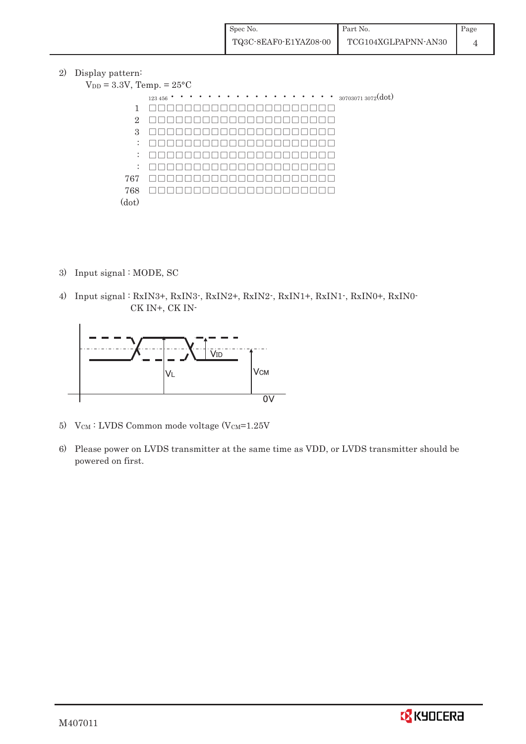2) Display pattern:

| $V_{DD} = 3.3V$ , Temp. = $25^{\circ}$ C |                                                 |
|------------------------------------------|-------------------------------------------------|
|                                          | $\cdots$ $\cdots$ 30703071 3072(dot)<br>123 456 |
| 1                                        |                                                 |
| $\overline{2}$                           |                                                 |
| 3                                        |                                                 |
| $\mathbb{Z}^{\mathbb{Z}}$                |                                                 |
| $\ddot{\phantom{a}}$                     |                                                 |
| ÷                                        |                                                 |
| 767                                      |                                                 |
| 768                                      |                                                 |
| (dot)                                    |                                                 |

- 3) Input signal : MODE, SC
- 4) Input signal : RxIN3+, RxIN3-, RxIN2+, RxIN2-, RxIN1+, RxIN1-, RxIN0+, RxIN0- CK IN+, CK IN-



- 5) V $_{CM}$ : LVDS Common mode voltage (V $_{CM}$ =1.25V
- 6) Please power on LVDS transmitter at the same time as VDD, or LVDS transmitter should be powered on first.

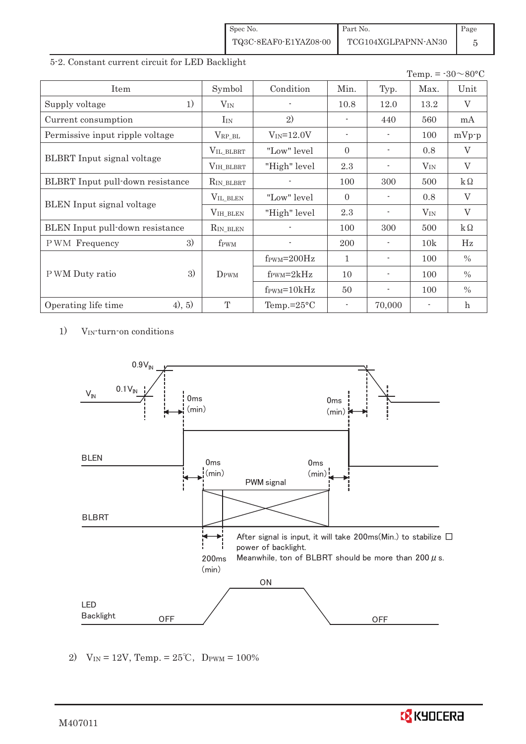| Spec No.              | Part No.            | Page |
|-----------------------|---------------------|------|
| TQ3C-8EAF0-E1YAZ08-00 | TCG104XGLPAPNN-AN30 |      |

#### 5-2. Constant current circuit for LED Backlight

|                                   |                  |                               |                          |                          | Temp. = $-30 \sim 80$ °C |                           |
|-----------------------------------|------------------|-------------------------------|--------------------------|--------------------------|--------------------------|---------------------------|
| Item                              | Symbol           | Condition                     | Min.                     | Typ.                     | Max.                     | Unit                      |
| 1)<br>Supply voltage              | $V_{IN}$         |                               | 10.8                     | 12.0                     | 13.2                     | V                         |
| Current consumption               | $I_{IN}$         | 2)                            |                          | 440                      | 560                      | mA                        |
| Permissive input ripple voltage   | $V_{RP\_BL}$     | $V_{IN} = 12.0V$              | $\sim$                   | $\overline{\phantom{a}}$ | 100                      | $mVp-p$                   |
|                                   | VIL_BLBRT        | "Low" level                   | $\Omega$                 |                          | 0.8                      | V                         |
| <b>BLBRT</b> Input signal voltage | VIH_BLBRT        | "High" level                  | 2.3                      |                          | $V_{IN}$                 | $\overline{V}$            |
| BLBRT Input pull-down resistance  | $R_{IN_BLEBRT}$  |                               | 100                      | 300                      | 500                      | $k\Omega$                 |
|                                   | VIL_BLEN         | "Low" level"                  | $\Omega$                 |                          | 0.8                      | V                         |
| <b>BLEN</b> Input signal voltage  | VIH_BLEN         | "High" level                  | 2.3                      |                          | $V_{\rm IN}$             | $\rm V$                   |
| BLEN Input pull-down resistance   | $R_{IN\_BLEN}$   |                               | 100                      | 300                      | 500                      | $k\Omega$                 |
| 3)<br>PWM Frequency               | f <sub>PWM</sub> |                               | 200                      |                          | 10k                      | Hz                        |
|                                   |                  | $f_{\text{PWM}}=200\text{Hz}$ | 1                        |                          | 100                      | $\%$                      |
| 3)<br>P WM Duty ratio             | DPWM             | $f_{\text{PWM}}=2kHz$         | 10                       |                          | 100                      | $\%$                      |
|                                   |                  | $f_{\text{PWM}} = 10kHz$      | 50                       | $\overline{\phantom{0}}$ | 100                      | $\%$                      |
| (4), 5)<br>Operating life time    | T                | Temp.= $25^{\circ}$ C         | $\overline{\phantom{a}}$ | 70,000                   |                          | $\boldsymbol{\mathrm{h}}$ |

1) VIN-turn-on conditions



2)  $V_{IN} = 12V$ , Temp. =  $25^{\circ}C$ , D<sub>PWM</sub> =  $100\%$ 

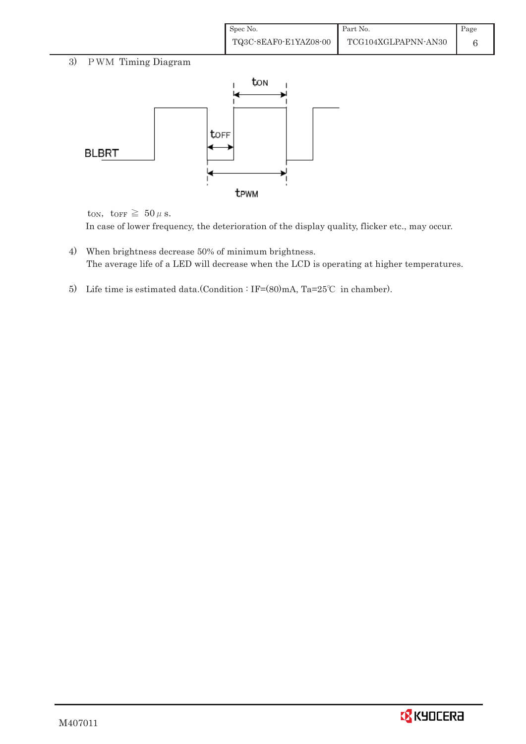| Spec No.              | Part No.            | Page |
|-----------------------|---------------------|------|
| TQ3C-8EAF0-E1YAZ08-00 | TCG104XGLPAPNN-AN30 |      |

## 3) PWM Timing Diagram



ton, torr  $\geq 50 \,\mu$  s. In case of lower frequency, the deterioration of the display quality, flicker etc., may occur.

- 4) When brightness decrease 50% of minimum brightness. The average life of a LED will decrease when the LCD is operating at higher temperatures.
- 5) Life time is estimated data.(Condition : IF= $(80)$ mA, Ta=25°C in chamber).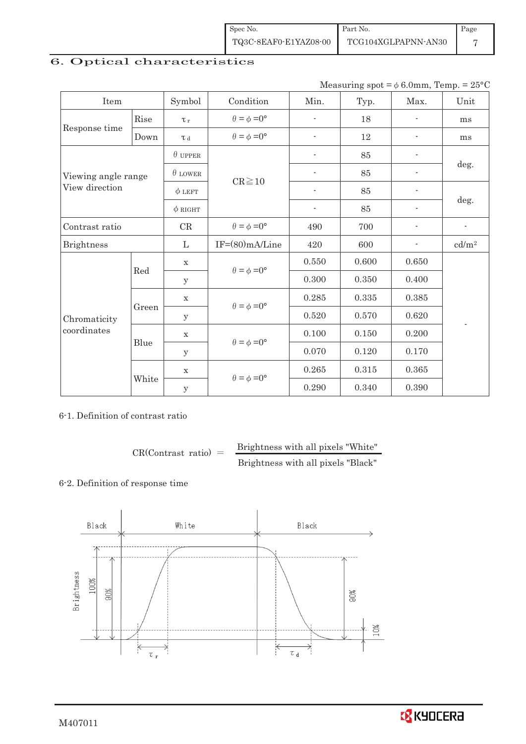| Spec No.              | Part No.            | Page |
|-----------------------|---------------------|------|
| TQ3C-8EAF0-E1YAZ08-00 | TCG104XGLPAPNN-AN30 |      |

## 6. Optical characteristics

Measuring  $spot = \phi 6.0$ mm, Temp. = 25°C

| Item                |       | Symbol         | Condition                   | Min.                     | Typ.  | Max.                     | Unit                     |
|---------------------|-------|----------------|-----------------------------|--------------------------|-------|--------------------------|--------------------------|
| Rise                |       | $\tau_r$       | $\theta = \phi = 0^{\circ}$ | ٠                        | 18    |                          | ms                       |
| Response time       | Down  | L <sub>d</sub> | $\theta = \phi = 0^{\circ}$ | $\overline{\phantom{a}}$ | 12    | $\overline{\phantom{a}}$ | ms                       |
|                     |       | $\theta$ upper |                             | $\overline{\phantom{0}}$ | 85    | $\overline{\phantom{0}}$ |                          |
| Viewing angle range |       | $\theta$ LOWER | $CR \ge 10$                 | $\overline{\phantom{0}}$ | 85    | $\overline{\phantom{0}}$ | deg.                     |
| View direction      |       | $\phi$ LEFT    |                             | $\overline{\phantom{a}}$ | 85    | $\overline{\phantom{a}}$ |                          |
|                     |       | $\phi$ RIGHT   |                             | $\blacksquare$           | 85    | $\overline{\phantom{0}}$ | deg.                     |
| Contrast ratio      |       | CR             | $\theta = \phi = 0^{\circ}$ | 490                      | 700   |                          | $\overline{\phantom{a}}$ |
| <b>Brightness</b>   |       |                | $IF=(80)mA/Line$            | 420                      | 600   | ۰                        | cd/m <sup>2</sup>        |
|                     | Red   | X              | $\theta = \phi = 0^{\circ}$ | 0.550                    | 0.600 | 0.650                    |                          |
|                     |       | У              |                             | 0.300                    | 0.350 | 0.400                    |                          |
|                     | Green | $\mathbf X$    |                             | 0.285                    | 0.335 | 0.385                    |                          |
| Chromaticity        |       | У              | $\theta = \phi = 0^{\circ}$ | 0.520                    | 0.570 | 0.620                    | $\overline{\phantom{a}}$ |
| coordinates         |       | $\mathbf X$    |                             | 0.100                    | 0.150 | 0.200                    |                          |
|                     | Blue  | y              | $\theta = \phi = 0^{\circ}$ | 0.070                    | 0.120 | 0.170                    |                          |
|                     |       | X              |                             | 0.265                    | 0.315 | 0.365                    |                          |
|                     | White | y              | $\theta = \phi = 0^{\circ}$ | 0.290                    | 0.340 | 0.390                    |                          |

6-1. Definition of contrast ratio

 $CR(Contrast ratio) =$  Brightness with all pixels "White" Brightness with all pixels "Black"

#### 6-2. Definition of response time



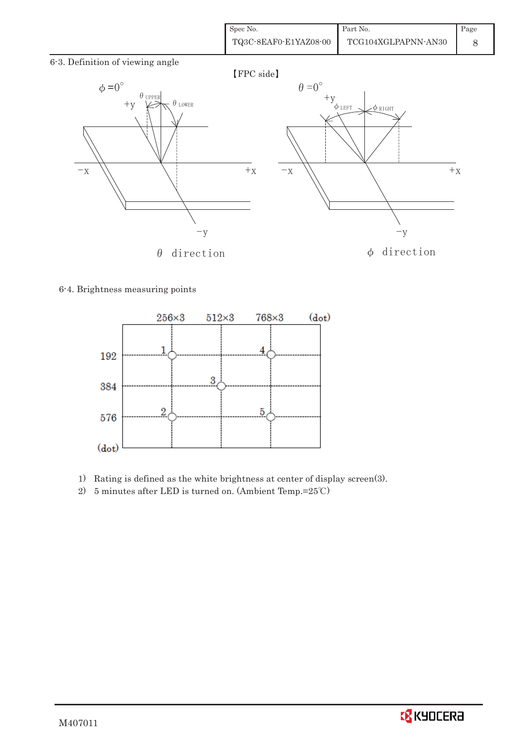| Spec No.              | Part No.            | Page |
|-----------------------|---------------------|------|
| TQ3C-8EAF0-E1YAZ08-00 | TCG104XGLPAPNN-AN30 |      |

6-3. Definition of viewing angle



#### 6-4. Brightness measuring points



- 1) Rating is defined as the white brightness at center of display screen(3).
- 2) 5 minutes after LED is turned on. (Ambient Temp.= $25^{\circ}$ C)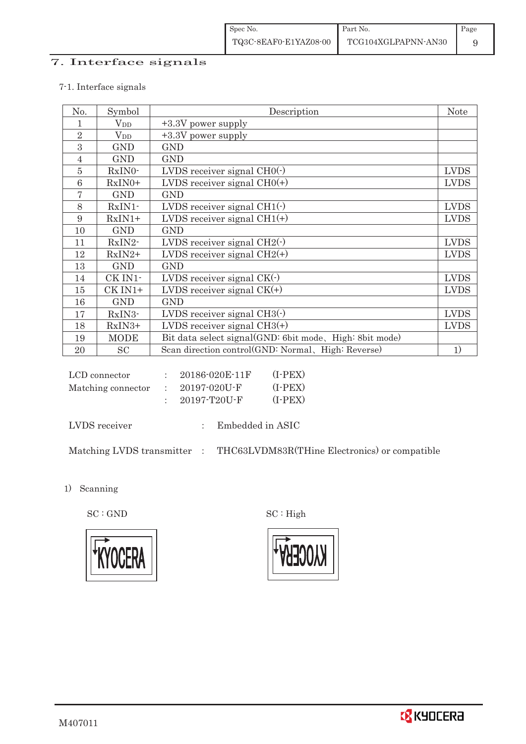## 7. Interface signals

#### 7-1. Interface signals

| No.            | Symbol       | Description                                             | <b>Note</b> |
|----------------|--------------|---------------------------------------------------------|-------------|
|                | $\rm V_{DD}$ | +3.3V power supply                                      |             |
| $\overline{2}$ | $V_{DD}$     | +3.3V power supply                                      |             |
| 3              | <b>GND</b>   | <b>GND</b>                                              |             |
| 4              | <b>GND</b>   | <b>GND</b>                                              |             |
| 5              | RxIN0-       | LVDS receiver signal $CHO(·)$                           | <b>LVDS</b> |
| 6              | $RxIN0+$     | LVDS receiver signal $CHO(+)$                           | <b>LVDS</b> |
| 7              | <b>GND</b>   | <b>GND</b>                                              |             |
| 8              | $RxIN1$ -    | LVDS receiver signal $CH1(\cdot)$                       | <b>LVDS</b> |
| 9              | $RxIN1+$     | LVDS receiver signal $CH1(+)$                           | <b>LVDS</b> |
| 10             | <b>GND</b>   | <b>GND</b>                                              |             |
| 11             | RxIN2-       | LVDS receiver signal $CH2(\cdot)$                       | <b>LVDS</b> |
| 12             | $RxIN2+$     | LVDS receiver signal $CH2(+)$                           | <b>LVDS</b> |
| 13             | <b>GND</b>   | <b>GND</b>                                              |             |
| 14             | CK IN1-      | LVDS receiver signal $CK(\cdot)$                        | <b>LVDS</b> |
| 15             | CK IN1+      | LVDS receiver signal $CK(+)$                            | <b>LVDS</b> |
| 16             | <b>GND</b>   | <b>GND</b>                                              |             |
| 17             | RxIN3-       | LVDS receiver signal $CH3()$                            | <b>LVDS</b> |
| 18             | RxIN3+       | LVDS receiver signal $CH3(+)$                           | <b>LVDS</b> |
| 19             | <b>MODE</b>  | Bit data select signal(GND: 6bit mode, High: 8bit mode) |             |
| 20             | <b>SC</b>    | Scan direction control(GND: Normal, High: Reverse)      | 1)          |

| LCD connector      | 20186-020E-11F | $(I-PEX)$ |
|--------------------|----------------|-----------|
| Matching connector | - 20197-020U-F | $(I-PEX)$ |
|                    | 20197-T20U-F   | $(I-PEX)$ |

LVDS receiver : Embedded in ASIC

Matching LVDS transmitter  $\hbox{ : }\quad$  THC63LVDM83R(THine Electronics) or compatible

1) Scanning

 $\mathrm{SC}:\mathrm{GND}\qquad \qquad \mathrm{SC}:\mathrm{High}$ 



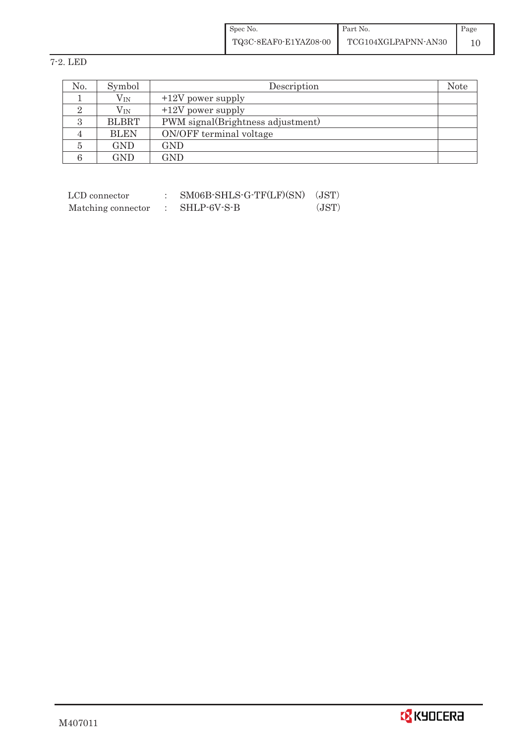| Spec No.              | Part No.            | Page |
|-----------------------|---------------------|------|
| TQ3C-8EAF0-E1YAZ08-00 | TCG104XGLPAPNN-AN30 |      |

7-2. LED

| No. | Symbol       | Description                       | Note |
|-----|--------------|-----------------------------------|------|
|     | $\rm V_{IN}$ | $+12V$ power supply               |      |
|     | $V_{\rm IN}$ | $+12V$ power supply               |      |
|     | <b>BLBRT</b> | PWM signal(Brightness adjustment) |      |
|     | <b>BLEN</b>  | ON/OFF terminal voltage           |      |
|     | GND          | GND                               |      |
|     | GND          | GND                               |      |

| LCD connector      | SM06B-SHLS-G-TF(LF)(SN) | (JST) |
|--------------------|-------------------------|-------|
| Matching connector | SHLP-6V-S-B             | (JST) |

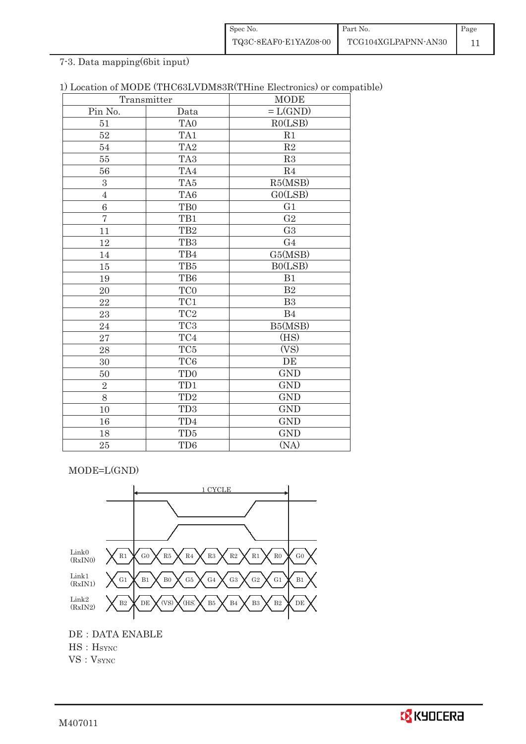| Spec No.              | Part No.            | Page |
|-----------------------|---------------------|------|
| TQ3C-8EAF0-E1YAZ08-00 | TCG104XGLPAPNN-AN30 |      |

## 7-3. Data mapping(6bit input)

| 1) Location of MODE (THC63LVDM83R(THine Electronics) or compatible) |  |
|---------------------------------------------------------------------|--|
|---------------------------------------------------------------------|--|

|                | Transmitter          | <b>MODE</b>    |
|----------------|----------------------|----------------|
| Pin No.        | Data                 | $=L(GND)$      |
| 51             | $\operatorname{TAO}$ | RO(LSB)        |
| 52             | TA1                  | R1             |
| 54             | TA <sub>2</sub>      | $\mathbf{R}2$  |
| 55             | TA <sub>3</sub>      | R3             |
| 56             | TA4                  | R4             |
| $\mathbf{3}$   | TA5                  | R5(MSB)        |
| $\overline{4}$ | TA6                  | GO(LSB)        |
| 6              | TB <sub>0</sub>      | G1             |
| $\overline{7}$ | TB1                  | G <sub>2</sub> |
| 11             | TB <sub>2</sub>      | G <sub>3</sub> |
| 12             | TB <sub>3</sub>      | G <sub>4</sub> |
| 14             | TB4                  | G5(MSB)        |
| 15             | TB5                  | B0(LSB)        |
| 19             | TB6                  | B1             |
| 20             | TC0                  | B <sub>2</sub> |
| 22             | TC1                  | B <sub>3</sub> |
| 23             | TC <sub>2</sub>      | B4             |
| 24             | TC <sub>3</sub>      | B5(MSB)        |
| 27             | TC4                  | (HS)           |
| 28             | $\rm TC5$            | (VS)           |
| 30             | TC <sub>6</sub>      | DE             |
| 50             | TD <sub>0</sub>      | <b>GND</b>     |
| $\overline{2}$ | TD1                  | <b>GND</b>     |
| 8              | TD <sub>2</sub>      | <b>GND</b>     |
| 10             | TD <sub>3</sub>      | <b>GND</b>     |
| 16             | TD4                  | <b>GND</b>     |
| 18             | TD5                  | <b>GND</b>     |
| 25             | TD <sub>6</sub>      | (NA)           |

MODE=L(GND)



DE : DATA ENABLE HS : H<sub>SYNC</sub> VS: VSYNC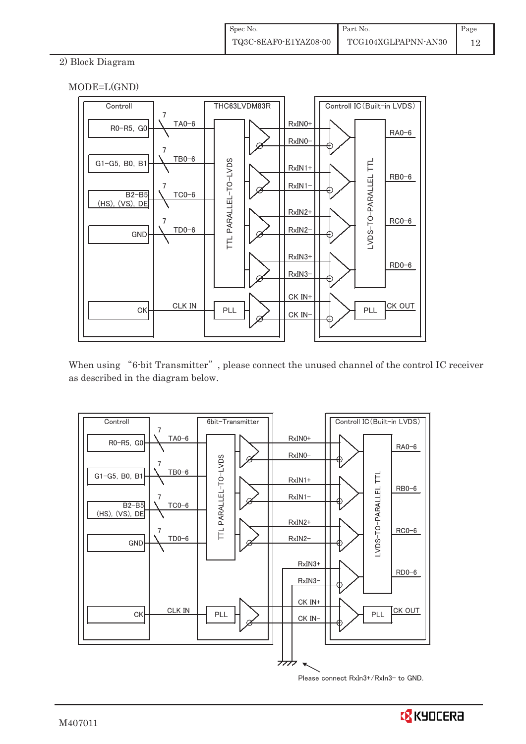## 2) Block Diagram





When using "6-bit Transmitter", please connect the unused channel of the control IC receiver as described in the diagram below.



Please connect RxIn3+/RxIn3- to GND.

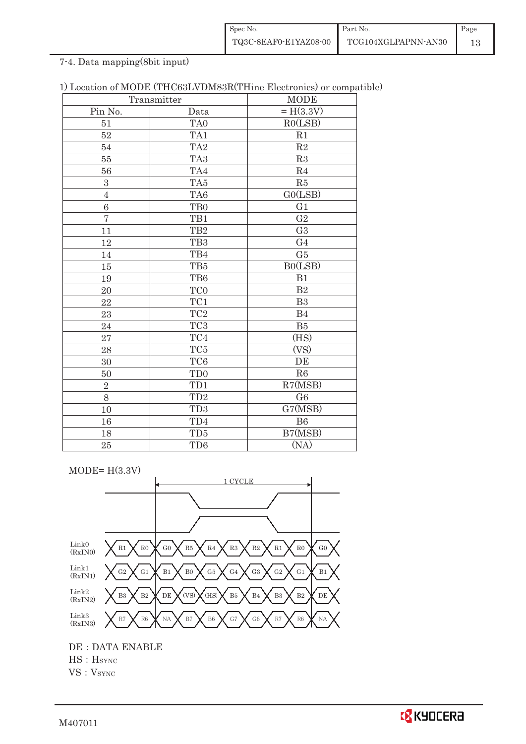| Spec No.              | Part No.            | Page |
|-----------------------|---------------------|------|
| TQ3C-8EAF0-E1YAZ08-00 | TCG104XGLPAPNN-AN30 |      |

## 7-4. Data mapping(8bit input)

|                | Transmitter     | <b>MODE</b>    |
|----------------|-----------------|----------------|
| Pin No.        | Data            | $= H(3.3V)$    |
| 51             | TA <sub>0</sub> | RO(LSB)        |
| $52\,$         | TA1             | R1             |
| 54             | TA <sub>2</sub> | $\mathbf{R}2$  |
| 55             | TA <sub>3</sub> | R3             |
| 56             | TA4             | R <sub>4</sub> |
| 3              | TA5             | R5             |
| $\overline{4}$ | TA6             | GO(LSB)        |
| 6              | TB <sub>0</sub> | G1             |
| $\overline{7}$ | TB1             | $\sqrt{G2}$    |
| 11             | TB <sub>2</sub> | G <sub>3</sub> |
| 12             | TB <sub>3</sub> | G <sub>4</sub> |
| 14             | TB4             | G5             |
| 15             | TB5             | B0(LSB)        |
| 19             | TB6             | B1             |
| 20             | TC0             | B <sub>2</sub> |
| 22             | $\rm TC1$       | B3             |
| 23             | TC <sub>2</sub> | B4             |
| 24             | TC <sub>3</sub> | B5             |
| 27             | TC4             | (HS)           |
| 28             | $\rm TC5$       | (VS)           |
| 30             | TC <sub>6</sub> | DE             |
| 50             | TD <sub>0</sub> | R6             |
| $\overline{2}$ | TD1             | R7(MSB)        |
| 8              | TD <sub>2</sub> | G6             |
| 10             | TD <sub>3</sub> | G7(MSB)        |
| 16             | TD4             | B6             |
| 18             | TD5             | B7(MSB)        |
| 25             | TD <sub>6</sub> | (NA)           |

 $MODE= H(3.3V)$ 



DE : DATA ENABLE

HS: H<sub>SYNC</sub>

VS: VSYNC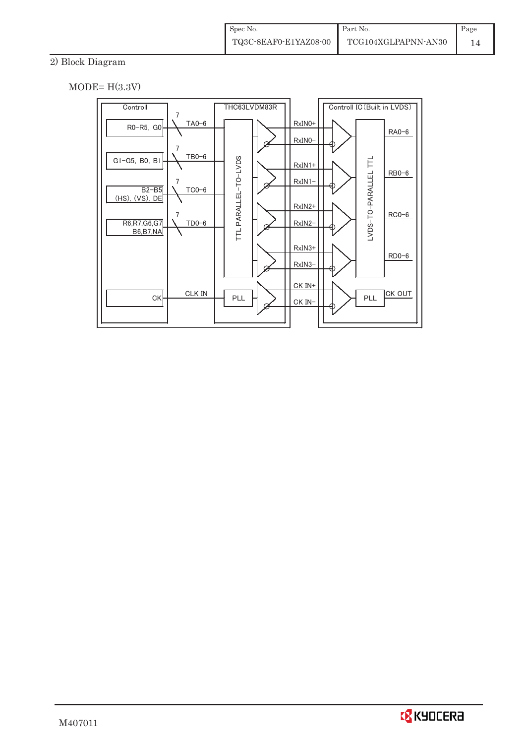## 2) Block Diagram

 $MODE= H(3.3V)$ 



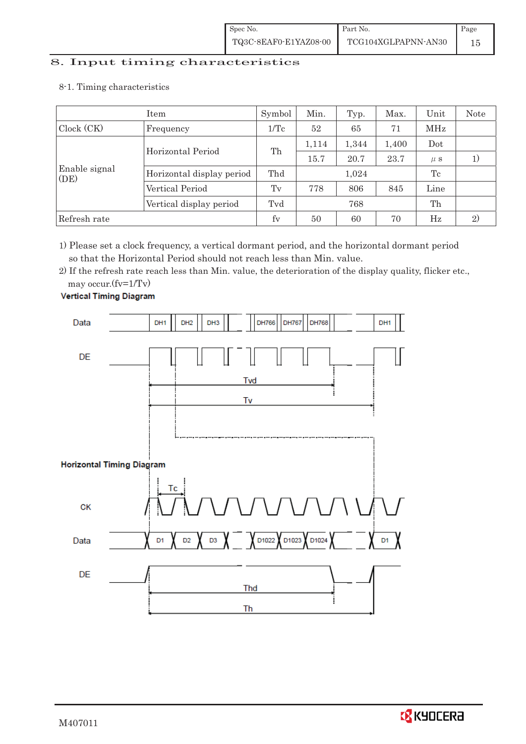# 8. Input timing characteristics  $\overline{\phantom{a}}$

8-1. Timing characteristics

|                       | Item                      | Symbol          | Min.  | Typ.  | Max.  | Unit    | <b>Note</b>  |
|-----------------------|---------------------------|-----------------|-------|-------|-------|---------|--------------|
| Clock (CK)            | Frequency                 | $1/\mathrm{Tc}$ | 52    | 65    | 71    | MHz     |              |
|                       | Horizontal Period         | Th              | 1,114 | 1,344 | 1,400 | Dot     |              |
| Enable signal<br>(DE) |                           |                 | 15.7  | 20.7  | 23.7  | $\mu$ s |              |
|                       | Horizontal display period | Thd             |       | 1,024 |       | Tc      |              |
|                       | Vertical Period           | Tv              | 778   | 806   | 845   | Line    |              |
|                       | Vertical display period   | Tvd             | 768   |       |       | Th      |              |
| Refresh rate          |                           | fy              | 50    | 60    | 70    | Hz      | $\mathbf{2}$ |

1) Please set a clock frequency, a vertical dormant period, and the horizontal dormant period so that the Horizontal Period should not reach less than Min. value.

2) If the refresh rate reach less than Min. value, the deterioration of the display quality, flicker etc., may occur.(fv=1/Tv)



**Vertical Timing Diagram** 

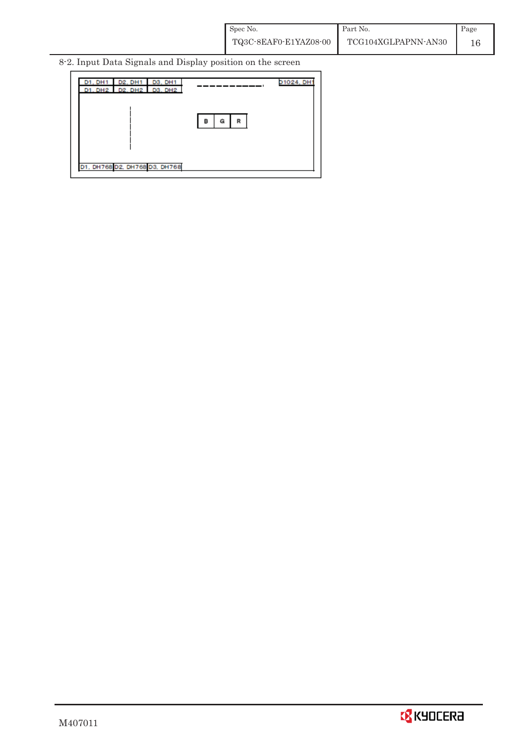8-2. Input Data Signals and Display position on the screen



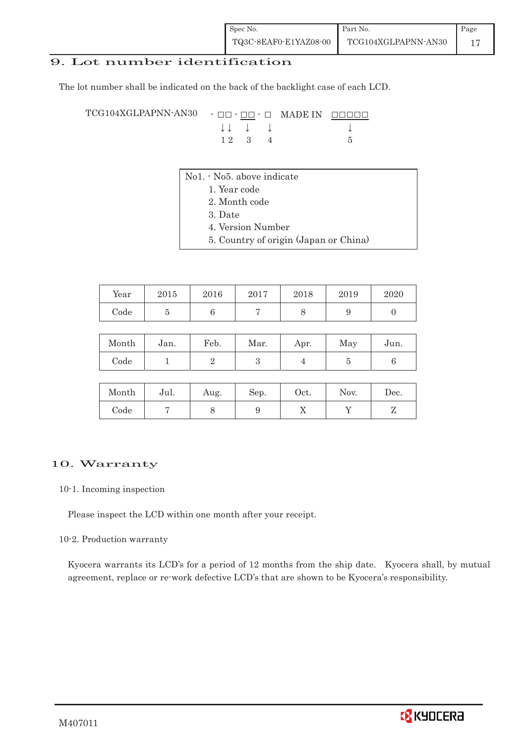## 9. Lot number identification

The lot number shall be indicated on the back of the backlight case of each LCD.

 $TCG104XGLPAPNN-AN30 - \Box\Box - \Box\Box$  MADE IN  $\Box$  $\Box$  $\Box$  $\downarrow \downarrow \quad \downarrow \quad \downarrow \qquad \qquad \downarrow$  $1 2 3 4 5$ 

- No1. No5. above indicate
	- 1. Year code
		- 2. Month code
		- 3. Date
		- 4. Version Number
		- 5. Country of origin (Japan or China)

| Year | 2015 | 2016 | 2017 | 2018 | 2019 | 2020 |
|------|------|------|------|------|------|------|
| Code |      |      |      |      |      |      |

| Month | Jan. | Feb. | Mar. | Apr. | May | Jun. |
|-------|------|------|------|------|-----|------|
| Code  |      |      |      |      |     |      |

| Month | Jul. | Aug. | Sep. | Oct. | Nov. | Dec. |
|-------|------|------|------|------|------|------|
| Code  |      |      |      | ∡⊾   |      |      |

#### 10. Warranty

#### 10-1. Incoming inspection

Please inspect the LCD within one month after your receipt.

#### 10-2. Production warranty

 Kyocera warrants its LCD's for a period of 12 months from the ship date. Kyocera shall, by mutual agreement, replace or re-work defective LCD's that are shown to be Kyocera's responsibility.

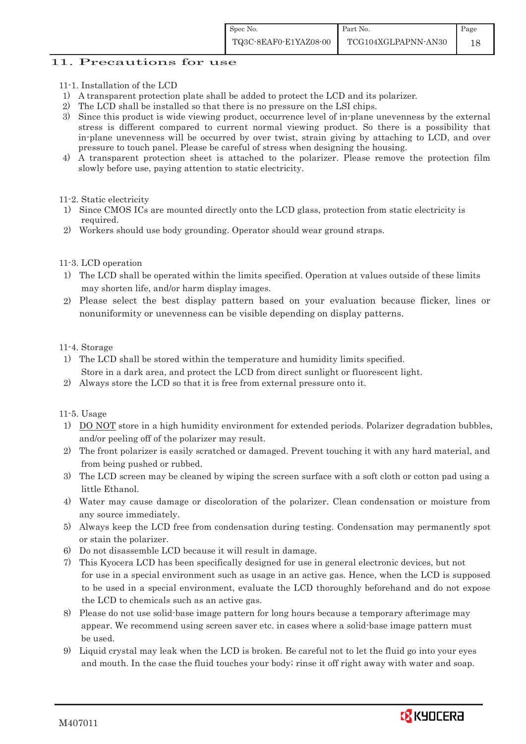### 11. Precautions for use

- 11-1. Installation of the LCD
- 1) A transparent protection plate shall be added to protect the LCD and its polarizer.
- 2) The LCD shall be installed so that there is no pressure on the LSI chips.
- 3) Since this product is wide viewing product, occurrence level of in-plane unevenness by the external stress is different compared to current normal viewing product. So there is a possibility that in-plane unevenness will be occurred by over twist, strain giving by attaching to LCD, and over pressure to touch panel. Please be careful of stress when designing the housing.
- 4) A transparent protection sheet is attached to the polarizer. Please remove the protection film slowly before use, paying attention to static electricity.
- 11-2. Static electricity
- 1) Since CMOS ICs are mounted directly onto the LCD glass, protection from static electricity is required.
- 2) Workers should use body grounding. Operator should wear ground straps.

#### 11-3. LCD operation

- 1) The LCD shall be operated within the limits specified. Operation at values outside of these limits may shorten life, and/or harm display images.
- 2) Please select the best display pattern based on your evaluation because flicker, lines or nonuniformity or unevenness can be visible depending on display patterns.

#### 11-4. Storage

- 1) The LCD shall be stored within the temperature and humidity limits specified. Store in a dark area, and protect the LCD from direct sunlight or fluorescent light.
- 2) Always store the LCD so that it is free from external pressure onto it.

#### 11-5. Usage

- 1) DO NOT store in a high humidity environment for extended periods. Polarizer degradation bubbles, and/or peeling off of the polarizer may result.
- 2) The front polarizer is easily scratched or damaged. Prevent touching it with any hard material, and from being pushed or rubbed.
- 3) The LCD screen may be cleaned by wiping the screen surface with a soft cloth or cotton pad using a little Ethanol.
- 4) Water may cause damage or discoloration of the polarizer. Clean condensation or moisture from any source immediately.
- 5) Always keep the LCD free from condensation during testing. Condensation may permanently spot or stain the polarizer.
- 6) Do not disassemble LCD because it will result in damage.
- 7) This Kyocera LCD has been specifically designed for use in general electronic devices, but not for use in a special environment such as usage in an active gas. Hence, when the LCD is supposed to be used in a special environment, evaluate the LCD thoroughly beforehand and do not expose the LCD to chemicals such as an active gas.
- 8) Please do not use solid-base image pattern for long hours because a temporary afterimage may appear. We recommend using screen saver etc. in cases where a solid-base image pattern must be used.
- 9) Liquid crystal may leak when the LCD is broken. Be careful not to let the fluid go into your eyes and mouth. In the case the fluid touches your body; rinse it off right away with water and soap.

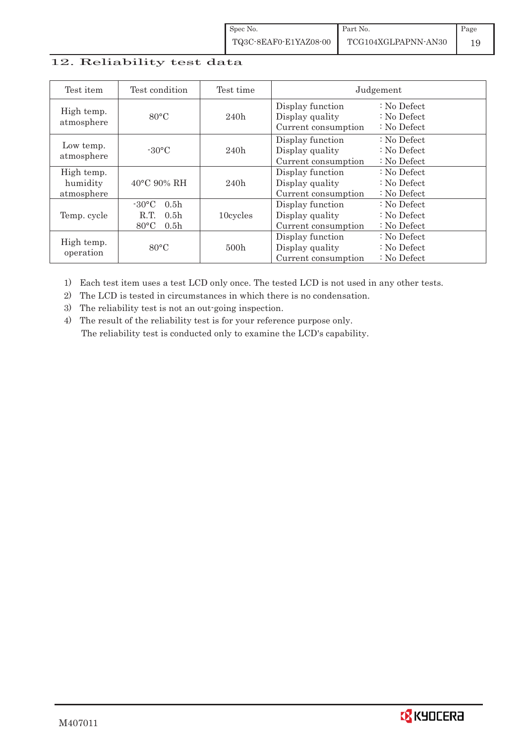| Spec No.              | Part No.            | Page |
|-----------------------|---------------------|------|
| TQ3C-8EAF0-E1YAZ08-00 | TCG104XGLPAPNN-AN30 |      |

#### 12. Reliability test data

| Test item                            | Test condition                                                                                        | Test time |                                                            | Judgement                                       |
|--------------------------------------|-------------------------------------------------------------------------------------------------------|-----------|------------------------------------------------------------|-------------------------------------------------|
| High temp.<br>atmosphere             | $80^{\circ}$ C                                                                                        | 240h      | Display function<br>Display quality<br>Current consumption | $: No$ Defect<br>$: No$ Defect<br>$: No$ Defect |
| Low temp.<br>atmosphere              | $-30^{\circ}$ C                                                                                       | 240h      | Display function<br>Display quality<br>Current consumption | $: No$ Defect<br>$: No$ Defect<br>$: No$ Defect |
| High temp.<br>humidity<br>atmosphere | $40^{\circ}$ C 90% RH                                                                                 | 240h      | Display function<br>Display quality<br>Current consumption | : No Defect<br>$: No$ Defect<br>$: No$ Defect   |
| Temp. cycle                          | $-30^{\circ}$ C<br>0.5 <sub>h</sub><br>0.5 <sub>h</sub><br>R.T.<br>$80^{\circ}$ C<br>0.5 <sub>h</sub> | 10cycles  | Display function<br>Display quality<br>Current consumption | $: No$ Defect<br>$: No$ Defect<br>$: No$ Defect |
| High temp.<br>operation              | $80^{\circ}$ C                                                                                        | 500h      | Display function<br>Display quality<br>Current consumption | $: No$ Defect<br>$: No$ Defect<br>$: No$ Defect |

1) Each test item uses a test LCD only once. The tested LCD is not used in any other tests.

2) The LCD is tested in circumstances in which there is no condensation.

3) The reliability test is not an out-going inspection.

4) The result of the reliability test is for your reference purpose only. The reliability test is conducted only to examine the LCD's capability.

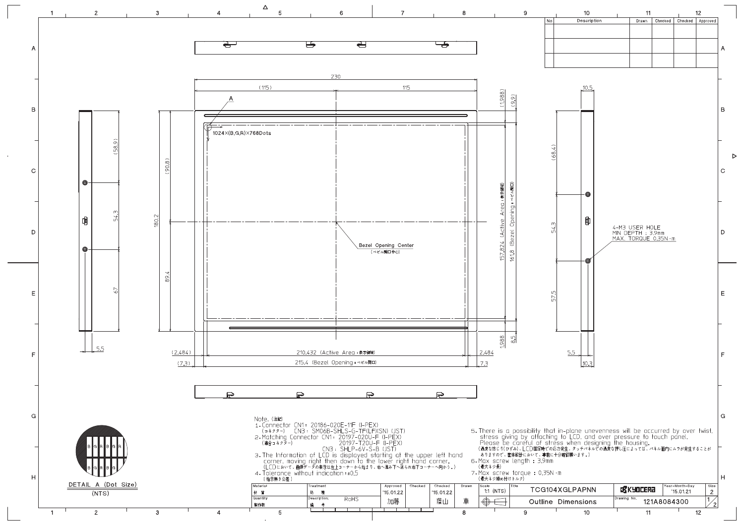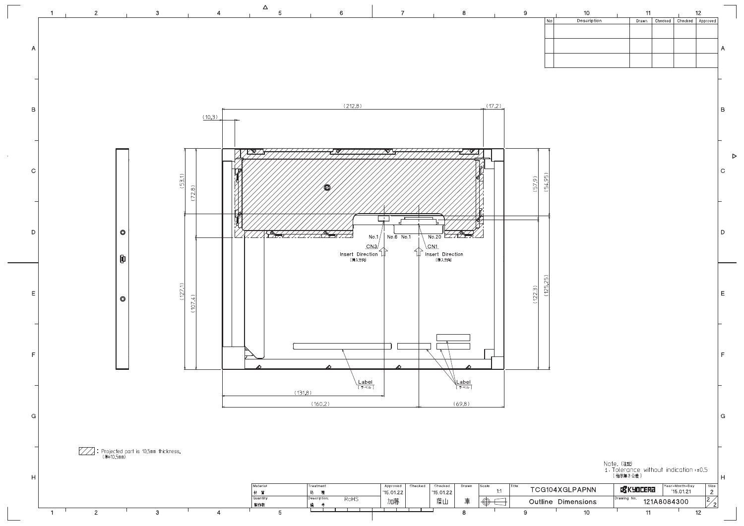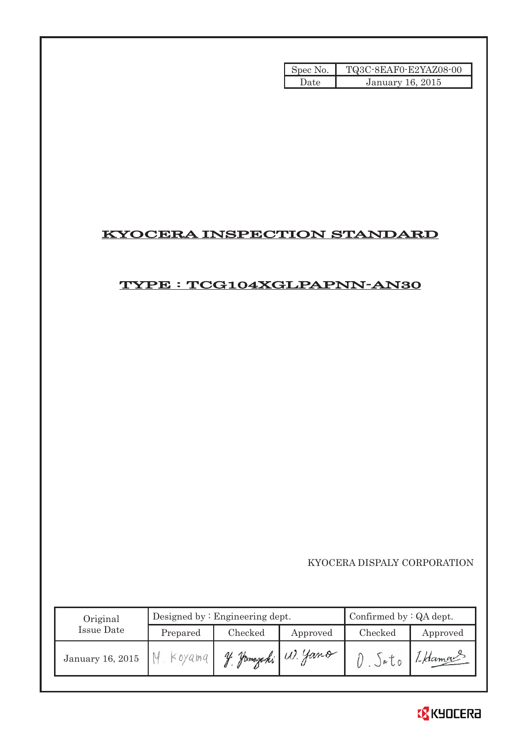| Spec No. | TQ3C-8EAF0-E2YAZ08-00   |
|----------|-------------------------|
| Date     | <b>January 16, 2015</b> |

## KYOCERA INSPECTION STANDARD

## TYPE : TCG104XGLPAPNN-AN30

KYOCERA DISPALY CORPORATION

| Original         | Designed by: Engineering dept. |               |                    | Confirmed by $:QA$ dept. |                   |  |
|------------------|--------------------------------|---------------|--------------------|--------------------------|-------------------|--|
| Issue Date       | Prepared                       | Checked       | Approved           | Checked                  | Approved          |  |
| January 16, 2015 | Koyama                         | $\mathcal{U}$ | 2 Jamazaki W. Yano | JeU                      | $1 - \beta$ daman |  |

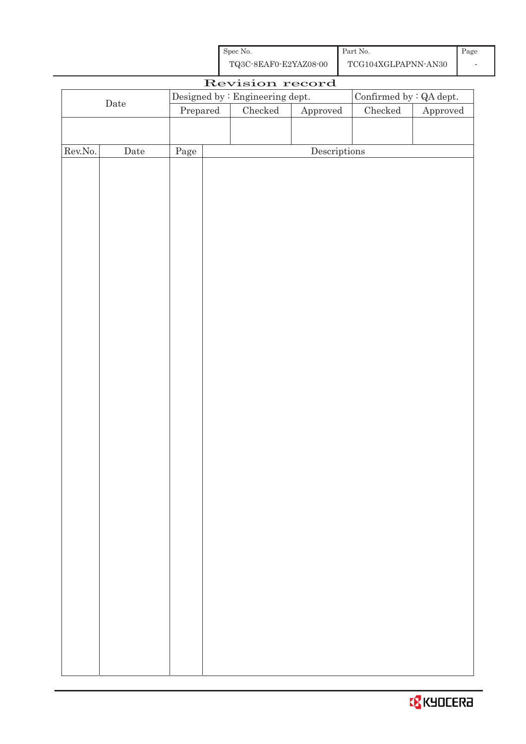| Spec No.              | Part No.            | Page |
|-----------------------|---------------------|------|
| TQ3C-8EAF0-E2YAZ08-00 | TCG104XGLPAPNN-AN30 |      |

|                  | Revision record |          |                                                                   |                                      |               |                        |
|------------------|-----------------|----------|-------------------------------------------------------------------|--------------------------------------|---------------|------------------------|
|                  |                 |          | Confirmed by $\colon$ QA dept.<br>Designed by : Engineering dept. |                                      |               |                        |
|                  | $\rm{Date}$     | Prepared | $\rm Checked$                                                     | Approved                             | $\rm Checked$ | ${\Large\bf Approved}$ |
|                  |                 |          |                                                                   |                                      |               |                        |
|                  |                 |          |                                                                   |                                      |               |                        |
| ${\rm Rev. No.}$ | $\rm{Date}$     | Page     |                                                                   | $\label{eq:2} \textbf{Descriptions}$ |               |                        |
|                  |                 |          |                                                                   |                                      |               |                        |
|                  |                 |          |                                                                   |                                      |               |                        |
|                  |                 |          |                                                                   |                                      |               |                        |
|                  |                 |          |                                                                   |                                      |               |                        |
|                  |                 |          |                                                                   |                                      |               |                        |
|                  |                 |          |                                                                   |                                      |               |                        |
|                  |                 |          |                                                                   |                                      |               |                        |
|                  |                 |          |                                                                   |                                      |               |                        |
|                  |                 |          |                                                                   |                                      |               |                        |
|                  |                 |          |                                                                   |                                      |               |                        |
|                  |                 |          |                                                                   |                                      |               |                        |
|                  |                 |          |                                                                   |                                      |               |                        |
|                  |                 |          |                                                                   |                                      |               |                        |
|                  |                 |          |                                                                   |                                      |               |                        |
|                  |                 |          |                                                                   |                                      |               |                        |
|                  |                 |          |                                                                   |                                      |               |                        |
|                  |                 |          |                                                                   |                                      |               |                        |
|                  |                 |          |                                                                   |                                      |               |                        |
|                  |                 |          |                                                                   |                                      |               |                        |
|                  |                 |          |                                                                   |                                      |               |                        |
|                  |                 |          |                                                                   |                                      |               |                        |
|                  |                 |          |                                                                   |                                      |               |                        |
|                  |                 |          |                                                                   |                                      |               |                        |
|                  |                 |          |                                                                   |                                      |               |                        |
|                  |                 |          |                                                                   |                                      |               |                        |
|                  |                 |          |                                                                   |                                      |               |                        |
|                  |                 |          |                                                                   |                                      |               |                        |
|                  |                 |          |                                                                   |                                      |               |                        |
|                  |                 |          |                                                                   |                                      |               |                        |
|                  |                 |          |                                                                   |                                      |               |                        |
|                  |                 |          |                                                                   |                                      |               |                        |
|                  |                 |          |                                                                   |                                      |               |                        |
|                  |                 |          |                                                                   |                                      |               |                        |
|                  |                 |          |                                                                   |                                      |               |                        |
|                  |                 |          |                                                                   |                                      |               |                        |
|                  |                 |          |                                                                   |                                      |               |                        |
|                  |                 |          |                                                                   |                                      |               |                        |
|                  |                 |          |                                                                   |                                      |               |                        |

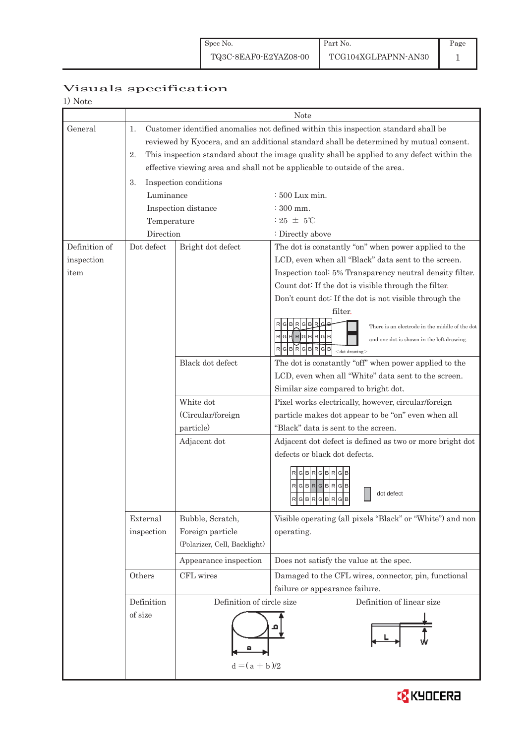## Visuals specification

| 1) Note |  |
|---------|--|
|---------|--|

|               |             | Note                                                                                       |                                                                            |  |  |  |
|---------------|-------------|--------------------------------------------------------------------------------------------|----------------------------------------------------------------------------|--|--|--|
| General       | 1.          | Customer identified anomalies not defined within this inspection standard shall be         |                                                                            |  |  |  |
|               |             | reviewed by Kyocera, and an additional standard shall be determined by mutual consent.     |                                                                            |  |  |  |
|               | 2.          | This inspection standard about the image quality shall be applied to any defect within the |                                                                            |  |  |  |
|               |             |                                                                                            | effective viewing area and shall not be applicable to outside of the area. |  |  |  |
|               | 3.          | Inspection conditions                                                                      |                                                                            |  |  |  |
|               | Luminance   |                                                                                            | $\div 500$ Lux min.                                                        |  |  |  |
|               |             | Inspection distance                                                                        | $\div$ 300 mm.                                                             |  |  |  |
|               | Temperature |                                                                                            | : 25 $\pm$ 5°C                                                             |  |  |  |
|               | Direction   |                                                                                            | : Directly above                                                           |  |  |  |
| Definition of | Dot defect  | Bright dot defect                                                                          | The dot is constantly "on" when power applied to the                       |  |  |  |
| inspection    |             |                                                                                            | LCD, even when all "Black" data sent to the screen.                        |  |  |  |
| item          |             |                                                                                            | Inspection tool: 5% Transparency neutral density filter.                   |  |  |  |
|               |             |                                                                                            | Count dot: If the dot is visible through the filter.                       |  |  |  |
|               |             |                                                                                            | Don't count dot: If the dot is not visible through the                     |  |  |  |
|               |             |                                                                                            | filter.                                                                    |  |  |  |
|               |             |                                                                                            | G B<br>There is an electrode in the middle of the dot                      |  |  |  |
|               |             |                                                                                            | RGERGBRGB<br>and one dot is shown in the left drawing.                     |  |  |  |
|               |             |                                                                                            | <b>BRGB</b><br>GBRG<br>$<$ dot drawing $>$                                 |  |  |  |
|               |             | Black dot defect                                                                           | The dot is constantly "off" when power applied to the                      |  |  |  |
|               |             |                                                                                            | LCD, even when all "White" data sent to the screen.                        |  |  |  |
|               |             |                                                                                            | Similar size compared to bright dot.                                       |  |  |  |
|               |             | White dot                                                                                  | Pixel works electrically, however, circular/foreign                        |  |  |  |
|               |             | (Circular/foreign                                                                          | particle makes dot appear to be "on" even when all                         |  |  |  |
|               |             | particle)                                                                                  | "Black" data is sent to the screen.                                        |  |  |  |
|               |             | Adjacent dot                                                                               | Adjacent dot defect is defined as two or more bright dot                   |  |  |  |
|               |             |                                                                                            | defects or black dot defects.                                              |  |  |  |
|               |             |                                                                                            | $G$ $B$ $R$ $G$ $B$ $R$                                                    |  |  |  |
|               |             |                                                                                            | $R$ GBR<br>Iglblrl<br>G<br>B                                               |  |  |  |
|               |             |                                                                                            | dot defect<br>RGBRGBR<br>G<br>B                                            |  |  |  |
|               | External    | Bubble, Scratch,                                                                           | Visible operating (all pixels "Black" or "White") and non                  |  |  |  |
|               | inspection  | Foreign particle                                                                           | operating.                                                                 |  |  |  |
|               |             | (Polarizer, Cell, Backlight)                                                               |                                                                            |  |  |  |
|               |             | Appearance inspection                                                                      | Does not satisfy the value at the spec.                                    |  |  |  |
|               | Others      | CFL wires                                                                                  | Damaged to the CFL wires, connector, pin, functional                       |  |  |  |
|               |             |                                                                                            | failure or appearance failure.                                             |  |  |  |
|               | Definition  | Definition of circle size                                                                  | Definition of linear size                                                  |  |  |  |
|               | of size     |                                                                                            |                                                                            |  |  |  |
|               |             |                                                                                            |                                                                            |  |  |  |
|               |             | $d = (a + b)/2$                                                                            |                                                                            |  |  |  |